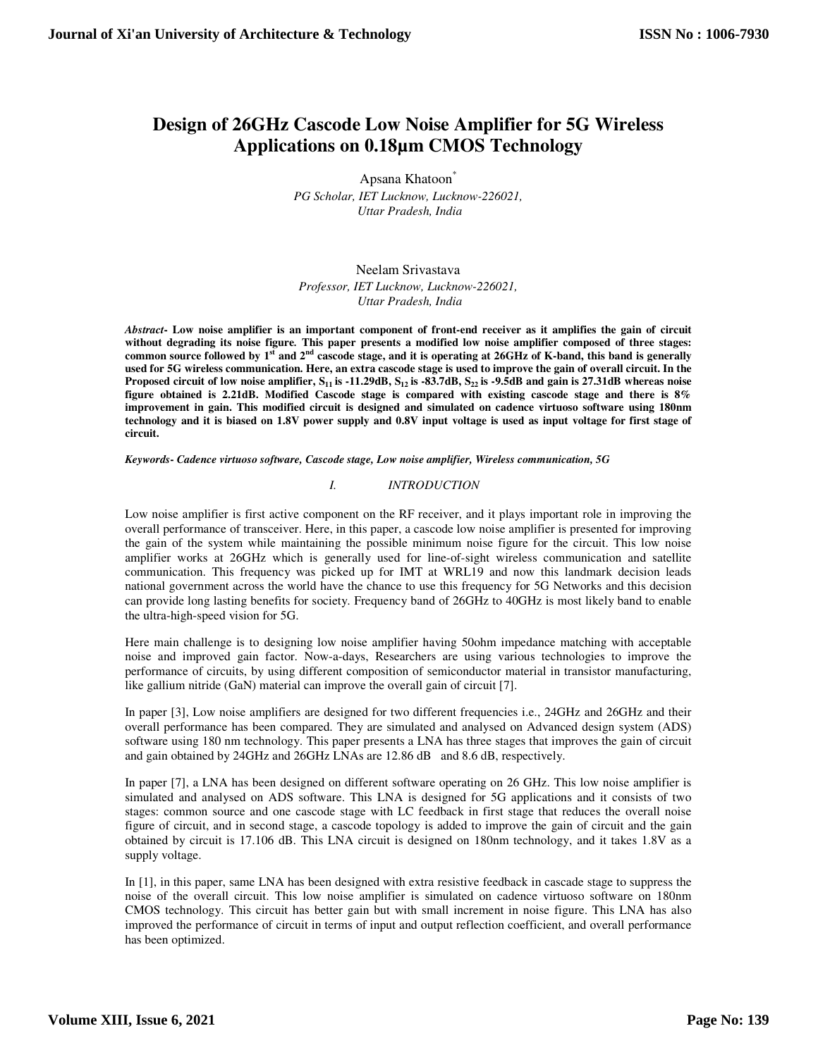# **Design of 26GHz Cascode Low Noise Amplifier for 5G Wireless Applications on 0.18µm CMOS Technology**

Apsana Khatoon<sup>\*</sup>

*PG Scholar, IET Lucknow, Lucknow-226021, Uttar Pradesh, India* 

# Neelam Srivastava

*Professor, IET Lucknow, Lucknow-226021, Uttar Pradesh, India* 

*Abstract***- Low noise amplifier is an important component of front-end receiver as it amplifies the gain of circuit without degrading its noise figure***.* **This paper presents a modified low noise amplifier composed of three stages: common source followed by 1st and 2nd cascode stage, and it is operating at 26GHz of K-band, this band is generally used for 5G wireless communication. Here, an extra cascode stage is used to improve the gain of overall circuit. In the Proposed circuit of low noise amplifier, S11 is -11.29dB, S12 is -83.7dB, S22 is -9.5dB and gain is 27.31dB whereas noise figure obtained is 2.21dB. Modified Cascode stage is compared with existing cascode stage and there is 8% improvement in gain. This modified circuit is designed and simulated on cadence virtuoso software using 180nm technology and it is biased on 1.8V power supply and 0.8V input voltage is used as input voltage for first stage of circuit.** 

*Keywords***-** *Cadence virtuoso software, Cascode stage, Low noise amplifier, Wireless communication, 5G* 

*I. INTRODUCTION* 

Low noise amplifier is first active component on the RF receiver, and it plays important role in improving the overall performance of transceiver. Here, in this paper, a cascode low noise amplifier is presented for improving the gain of the system while maintaining the possible minimum noise figure for the circuit. This low noise amplifier works at 26GHz which is generally used for line-of-sight wireless communication and satellite communication. This frequency was picked up for IMT at WRL19 and now this landmark decision leads national government across the world have the chance to use this frequency for 5G Networks and this decision can provide long lasting benefits for society. Frequency band of 26GHz to 40GHz is most likely band to enable the ultra-high-speed vision for 5G.

Here main challenge is to designing low noise amplifier having 50ohm impedance matching with acceptable noise and improved gain factor. Now-a-days, Researchers are using various technologies to improve the performance of circuits, by using different composition of semiconductor material in transistor manufacturing, like gallium nitride (GaN) material can improve the overall gain of circuit [7].

In paper [3], Low noise amplifiers are designed for two different frequencies i.e., 24GHz and 26GHz and their overall performance has been compared. They are simulated and analysed on Advanced design system (ADS) software using 180 nm technology. This paper presents a LNA has three stages that improves the gain of circuit and gain obtained by 24GHz and 26GHz LNAs are 12.86 dB and 8.6 dB, respectively.

In paper [7], a LNA has been designed on different software operating on 26 GHz. This low noise amplifier is simulated and analysed on ADS software. This LNA is designed for 5G applications and it consists of two stages: common source and one cascode stage with LC feedback in first stage that reduces the overall noise figure of circuit, and in second stage, a cascode topology is added to improve the gain of circuit and the gain obtained by circuit is 17.106 dB. This LNA circuit is designed on 180nm technology, and it takes 1.8V as a supply voltage.

In [1], in this paper, same LNA has been designed with extra resistive feedback in cascade stage to suppress the noise of the overall circuit. This low noise amplifier is simulated on cadence virtuoso software on 180nm CMOS technology. This circuit has better gain but with small increment in noise figure. This LNA has also improved the performance of circuit in terms of input and output reflection coefficient, and overall performance has been optimized.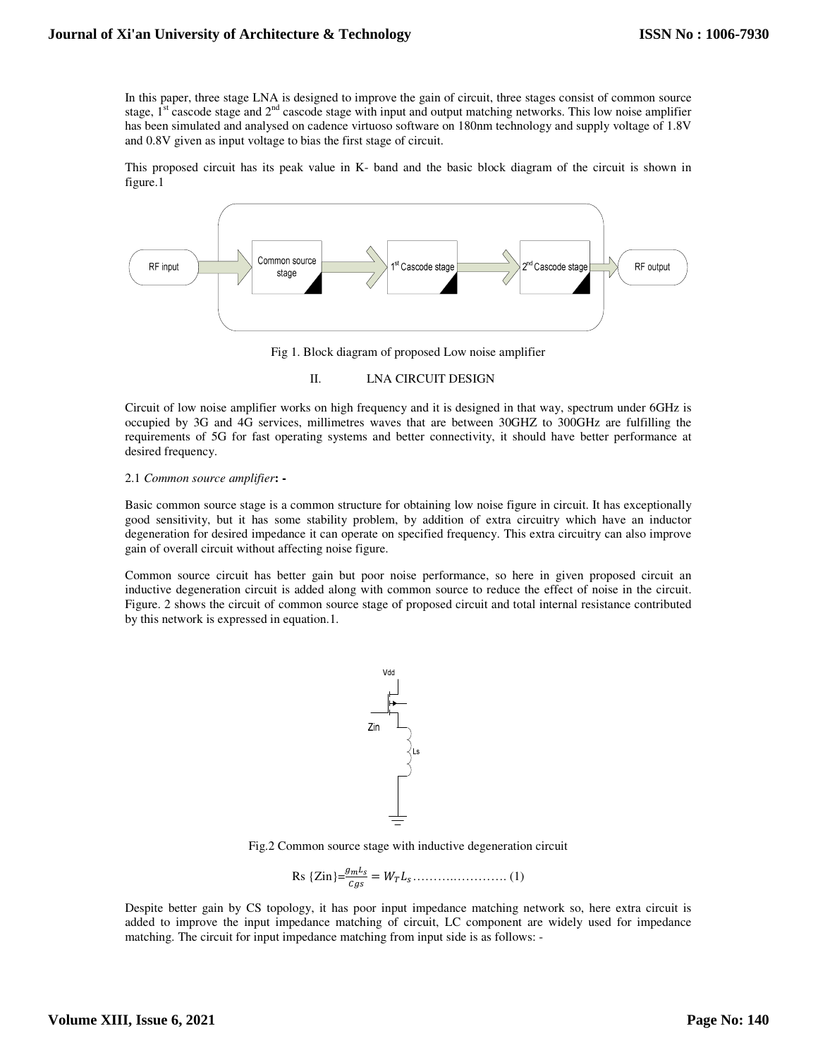In this paper, three stage LNA is designed to improve the gain of circuit, three stages consist of common source stage,  $1^{\text{st}}$  cascode stage and  $2^{\text{nd}}$  cascode stage with input and output matching networks. This low noise amplifier has been simulated and analysed on cadence virtuoso software on 180nm technology and supply voltage of 1.8V and 0.8V given as input voltage to bias the first stage of circuit.

This proposed circuit has its peak value in K- band and the basic block diagram of the circuit is shown in figure.1



Fig 1. Block diagram of proposed Low noise amplifier

# II. LNA CIRCUIT DESIGN

Circuit of low noise amplifier works on high frequency and it is designed in that way, spectrum under 6GHz is occupied by 3G and 4G services, millimetres waves that are between 30GHZ to 300GHz are fulfilling the requirements of 5G for fast operating systems and better connectivity, it should have better performance at desired frequency.

# 2.1 *Common source amplifier***: -**

Basic common source stage is a common structure for obtaining low noise figure in circuit. It has exceptionally good sensitivity, but it has some stability problem, by addition of extra circuitry which have an inductor degeneration for desired impedance it can operate on specified frequency. This extra circuitry can also improve gain of overall circuit without affecting noise figure.

Common source circuit has better gain but poor noise performance, so here in given proposed circuit an inductive degeneration circuit is added along with common source to reduce the effect of noise in the circuit. Figure. 2 shows the circuit of common source stage of proposed circuit and total internal resistance contributed by this network is expressed in equation.1.



Fig.2 Common source stage with inductive degeneration circuit

Rs 
$$
{\text{Zin}} = \frac{g_m L_s}{c_{gs}} = W_T L_s \dots \dots \dots \dots \dots \dots \dots (1)
$$

Despite better gain by CS topology, it has poor input impedance matching network so, here extra circuit is added to improve the input impedance matching of circuit, LC component are widely used for impedance matching. The circuit for input impedance matching from input side is as follows: -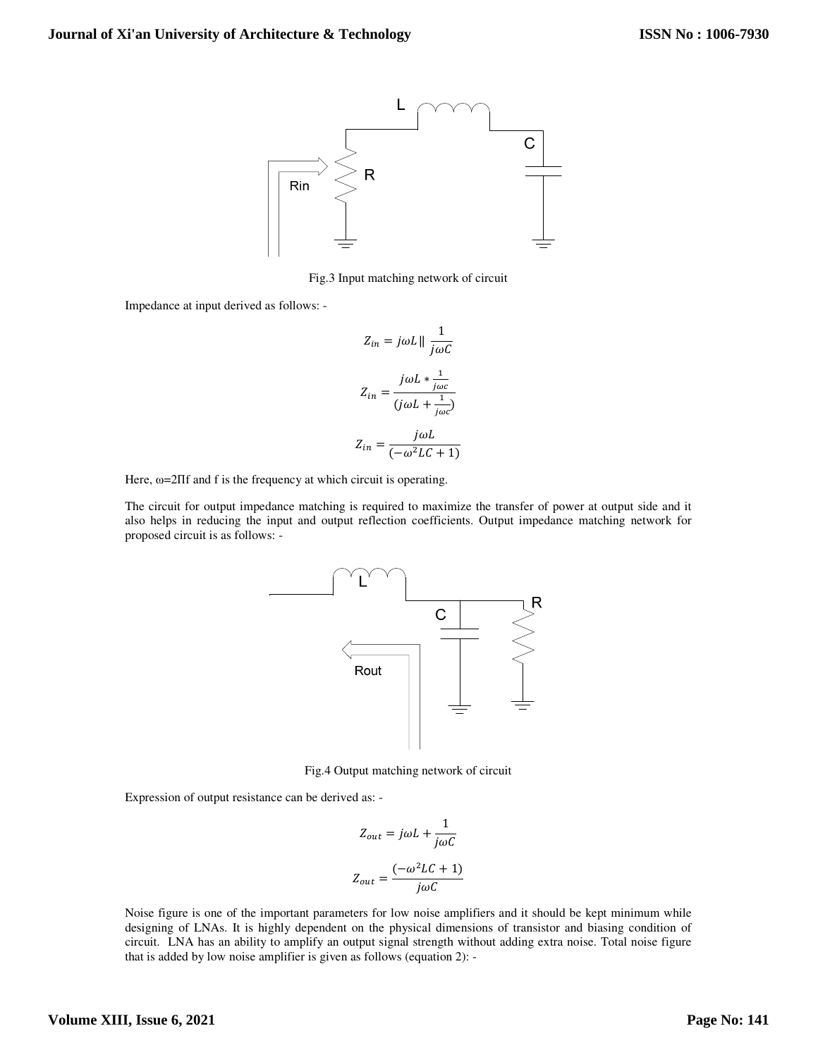

Fig.3 Input matching network of circuit

Impedance at input derived as follows: -

$$
Z_{in} = j\omega L \parallel \frac{1}{j\omega C}
$$

$$
Z_{in} = \frac{j\omega L * \frac{1}{j\omega C}}{(j\omega L + \frac{1}{j\omega C})}
$$

$$
Z_{in} = \frac{j\omega L}{(-\omega^{2}LC + 1)}
$$

Here, ω=2Πf and f is the frequency at which circuit is operating.

The circuit for output impedance matching is required to maximize the transfer of power at output side and it also helps in reducing the input and output reflection coefficients. Output impedance matching network for proposed circuit is as follows: -



Fig.4 Output matching network of circuit

Expression of output resistance can be derived as: -

$$
Z_{out} = j\omega L + \frac{1}{j\omega C}
$$

$$
Z_{out} = \frac{(-\omega^2 LC + 1)}{j\omega C}
$$

Noise figure is one of the important parameters for low noise amplifiers and it should be kept minimum while designing of LNAs. It is highly dependent on the physical dimensions of transistor and biasing condition of circuit. LNA has an ability to amplify an output signal strength without adding extra noise. Total noise figure that is added by low noise amplifier is given as follows (equation 2): -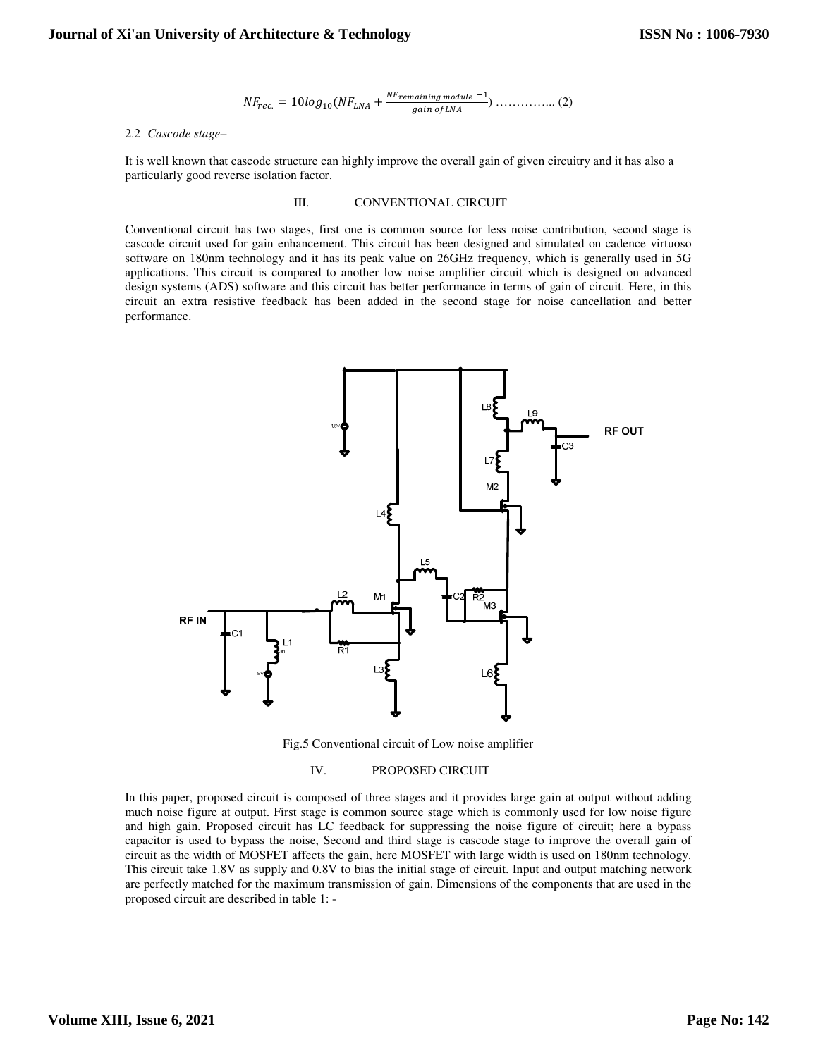$$
NF_{rec.} = 10log_{10}(NF_{LNA} + \frac{NF_{remaining\ module} - 1}{gain\ of LNA}) \dots \dots \dots \dots \dots \tag{2}
$$

## 2.2 *Cascode stage–*

It is well known that cascode structure can highly improve the overall gain of given circuitry and it has also a particularly good reverse isolation factor.

## III. CONVENTIONAL CIRCUIT

Conventional circuit has two stages, first one is common source for less noise contribution, second stage is cascode circuit used for gain enhancement. This circuit has been designed and simulated on cadence virtuoso software on 180nm technology and it has its peak value on 26GHz frequency, which is generally used in 5G applications. This circuit is compared to another low noise amplifier circuit which is designed on advanced design systems (ADS) software and this circuit has better performance in terms of gain of circuit. Here, in this circuit an extra resistive feedback has been added in the second stage for noise cancellation and better performance.



Fig.5 Conventional circuit of Low noise amplifier

#### IV. PROPOSED CIRCUIT

In this paper, proposed circuit is composed of three stages and it provides large gain at output without adding much noise figure at output. First stage is common source stage which is commonly used for low noise figure and high gain. Proposed circuit has LC feedback for suppressing the noise figure of circuit; here a bypass capacitor is used to bypass the noise, Second and third stage is cascode stage to improve the overall gain of circuit as the width of MOSFET affects the gain, here MOSFET with large width is used on 180nm technology. This circuit take 1.8V as supply and 0.8V to bias the initial stage of circuit. Input and output matching network are perfectly matched for the maximum transmission of gain. Dimensions of the components that are used in the proposed circuit are described in table 1: -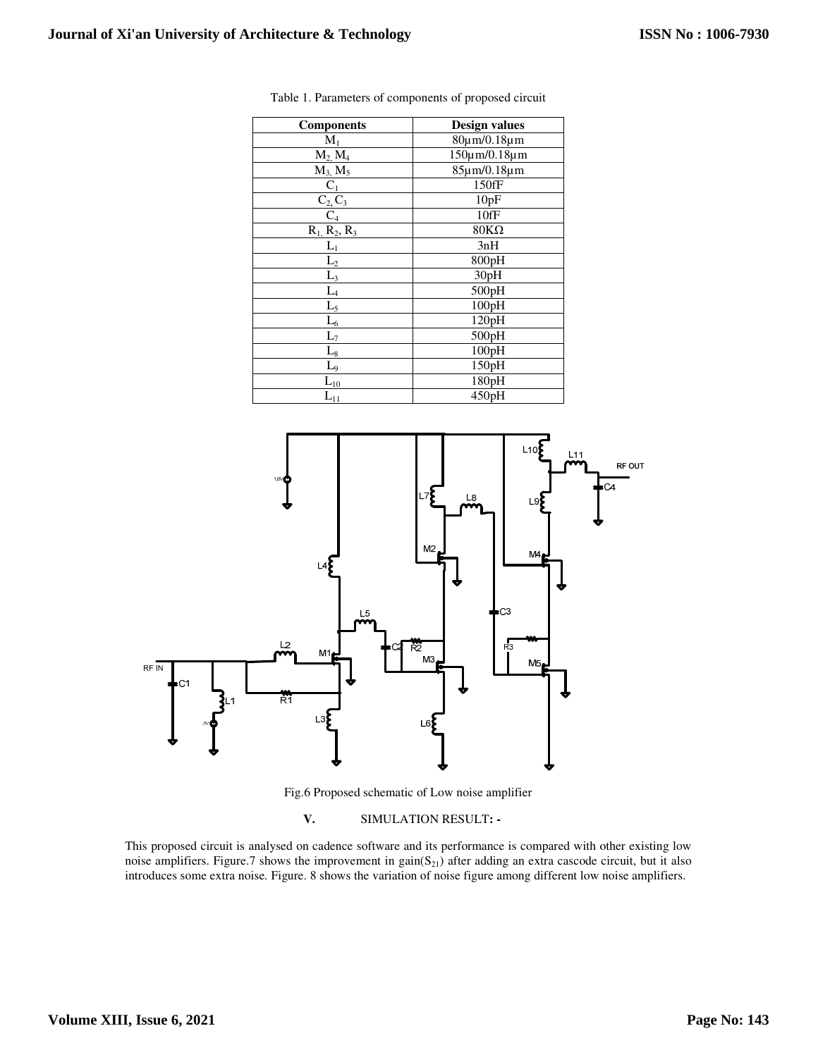| <b>Components</b>                          | <b>Design values</b> |  |  |
|--------------------------------------------|----------------------|--|--|
| $M_1$                                      | 80μm/0.18μm          |  |  |
| $M_2$ $M_4$                                | 150μm/0.18μm         |  |  |
| $M_3$ , $M_5$                              | 85µm/0.18µm          |  |  |
| $C_1$                                      | 150fF                |  |  |
| $\frac{C_2 C_3}{C_4}$                      | 10pF                 |  |  |
|                                            | 10fF                 |  |  |
| $R_1, R_2, R_3$                            | $80K\Omega$          |  |  |
| $\mathbf{L}_1$                             | 3nH                  |  |  |
| $\mathbf{L}_2$                             | 800pH                |  |  |
| $L_3$                                      | 30pH                 |  |  |
| $L_4$                                      | 500pH                |  |  |
| $\overline{L_5}$                           | 100pH                |  |  |
| $L_6$                                      | 120pH                |  |  |
| $L_7$                                      | 500pH                |  |  |
| $\mathbf{L}_8$                             | 100pH                |  |  |
| $L_9$                                      | 150pH                |  |  |
| $L_{\underline{10}}$                       | 180pH                |  |  |
| $\mathcal{L}_{\underline{1}\underline{1}}$ | 450pH                |  |  |





Fig.6 Proposed schematic of Low noise amplifier

**V.** SIMULATION RESULT**: -** 

This proposed circuit is analysed on cadence software and its performance is compared with other existing low noise amplifiers. Figure.7 shows the improvement in gain( $S_{21}$ ) after adding an extra cascode circuit, but it also introduces some extra noise. Figure. 8 shows the variation of noise figure among different low noise amplifiers.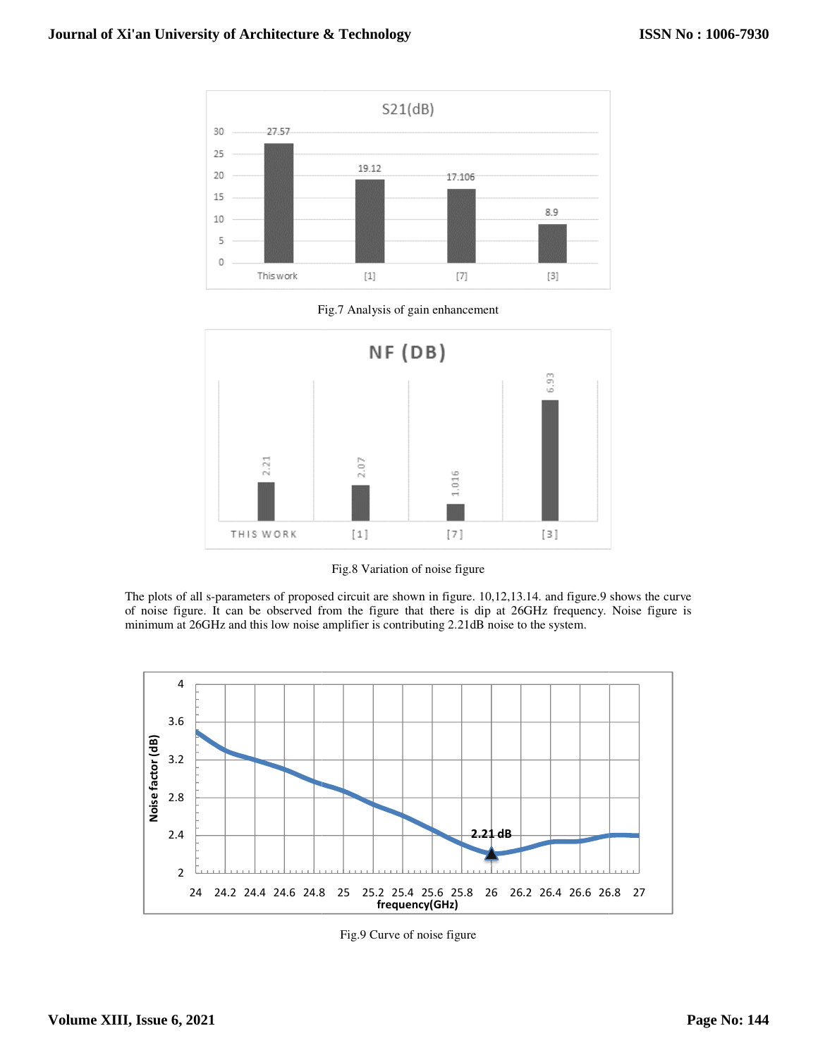

Fig.7 Analysis of gain enhancement



Fig.8 Variation of noise figure

The plots of all s-parameters of proposed circuit are shown in figure. 10,12,13.14. and figure.9 shows the curve The plots of all s-parameters of proposed circuit are shown in figure. 10,12,13.14. and figure.9 shows the curve of noise figure. It can be observed from the figure that there is dip at 26GHz frequency. Noise figure is minimum at 26GHz and this low noise amplifier is contributing 2.21dB noise to the system.

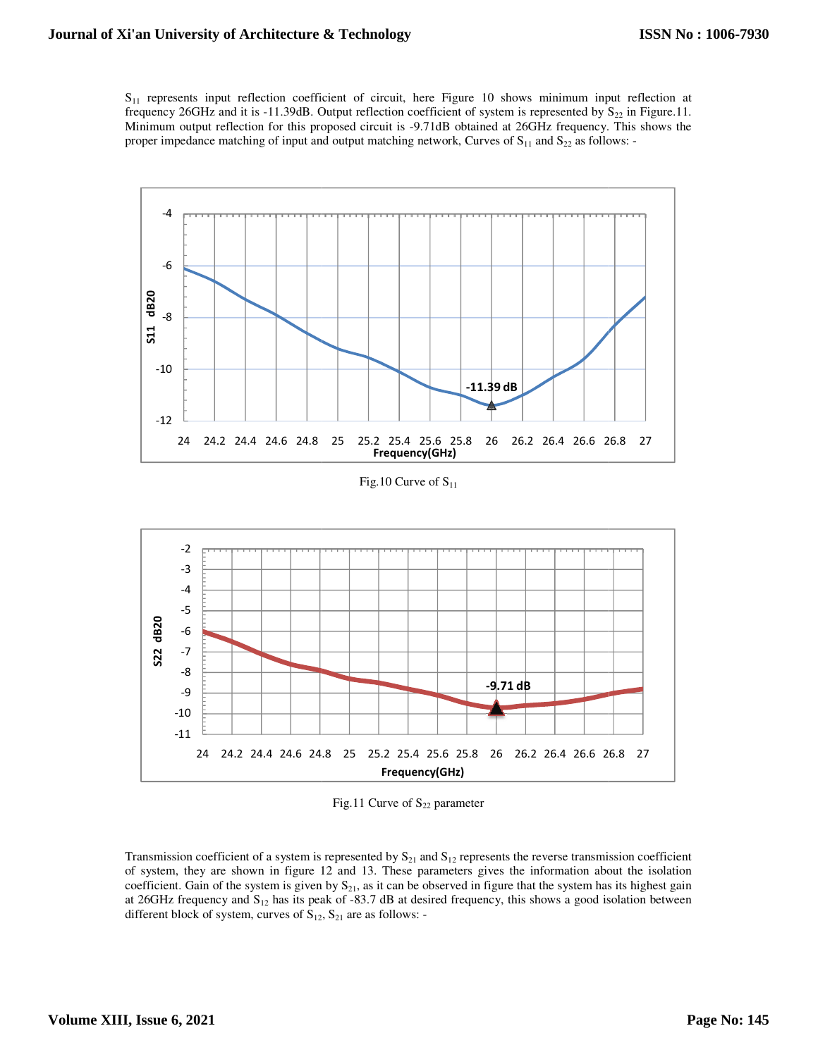$S_{11}$  represents input reflection coefficient of circuit, here Figure 10 shows minimum input reflection at  $S_{11}$  represents input reflection coefficient of circuit, here Figure 10 shows minimum input reflection at frequency 26GHz and it is -11.39dB. Output reflection coefficient of system is represented by  $S_{22}$  in Figure. frequency 26GHz and it is -11.39dB. Output reflection coefficient of system is represented by  $S_{22}$  in Figure.11.<br>Minimum output reflection for this proposed circuit is -9.71dB obtained at 26GHz frequency. This shows th Minimum output reflection for this proposed circuit is -9.71dB obtained at 26GHz frequency. This proper impedance matching of input and output matching network, Curves of  $S_{11}$  and  $S_{22}$  as follows: -



-11 -10 -9 -8 -7 -6 -5 -4 -3 -2 24 24.2 24.4 24.6 24.8 **S22 dB20 -9.71 dB** 25 25.2 25.4 25.6 25.8 26 26.2 26.4 26.6 26.8 27 **Frequency(GHz)** 24 24.2 24.4 24.6 24.8 25 225.4 25.6 25.8 26 26.2 26.4 26.6 26.8 27<br>
Fig.10 Curve of S<sub>11</sub><br>
Fig.10 Curve of S<sub>11</sub><br>  $\frac{2}{\sqrt{3}}$ <br>  $\frac{4}{\sqrt{3}}$ <br>  $\frac{4}{\sqrt{3}}$ <br>  $\frac{10}{\sqrt{3}}$ <br>  $\frac{11}{24}$ <br>  $24.2$  24.4 24.6 24.8 25 25.2 25.4 2

Fig.11 Curve of  $S_{22}$  parameter

Transmission coefficient of a system is represented by  $S_{21}$  and  $S_{12}$  represents the reverse transmission coefficient of system, they are shown in figure 12 and 13. These parameters gives the information about the isolation of system, they are shown in figure 12 and 13. These parameters gives the information about the isolation coefficient. Gain of the system is given by  $S_{21}$ , as it can be observed in figure that the system has its highes at 26GHz frequency and  $S_{12}$  has its peak of -83.7 dB at desired frequency, this shows a good isolation between different block of system, curves of  $S_{12}$ ,  $S_{21}$  are as follows: -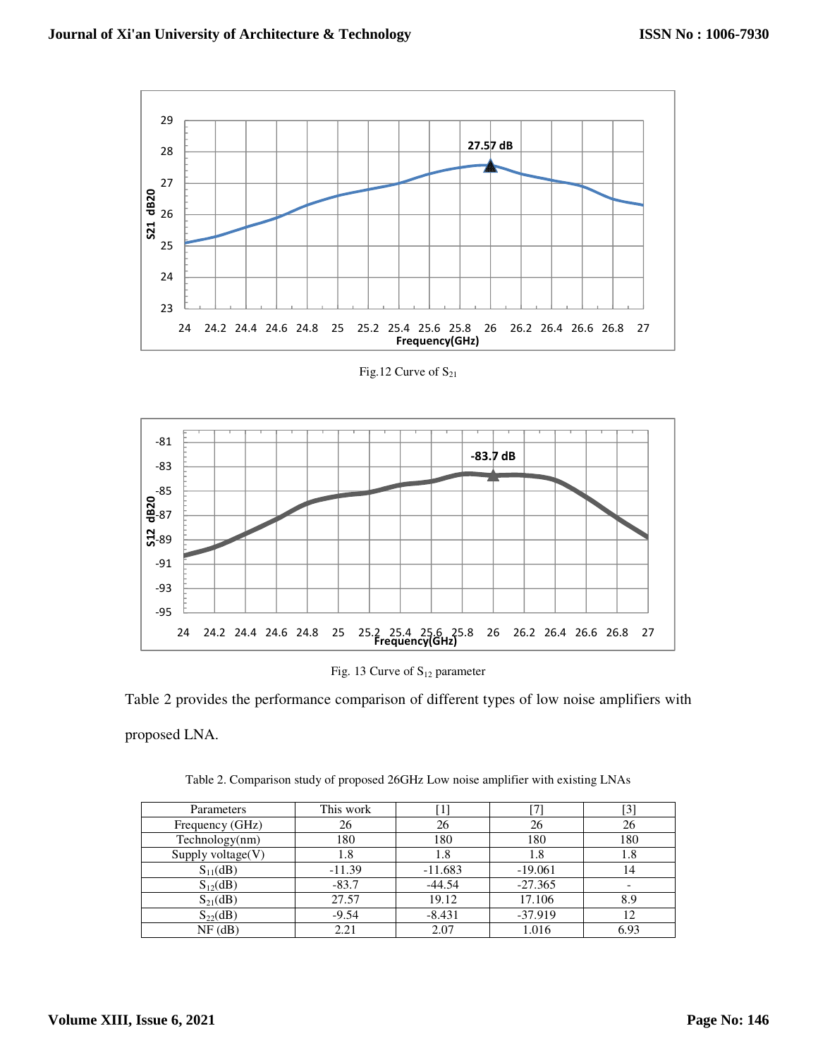

Fig.12 Curve of  $S_{21}$ 



Fig. 13 Curve of  $S_{12}$  parameter

Table 2 provides the performance comparison of different types of low noise amplifiers with proposed LNA.

Table 2. Comparison study of proposed 26GHz Low noise amplifier with existing LNAs

| Parameters        | This work | $\lceil 1 \rceil$ |           | $[3]$ |
|-------------------|-----------|-------------------|-----------|-------|
| Frequency (GHz)   | 26        | 26                | 26        | 26    |
| Technology(nm)    | 180       | 180               | 180       | 180   |
| Supply voltage(V) | 1.8       | 1.8               | 1.8       | 1.8   |
| $S_{11}(dB)$      | $-11.39$  | $-11.683$         | $-19.061$ | 14    |
| $S_{12}(dB)$      | $-83.7$   | $-44.54$          | $-27.365$ |       |
| $S_{21}(dB)$      | 27.57     | 19.12             | 17.106    | 8.9   |
| $S_{22}(dB)$      | $-9.54$   | $-8.431$          | $-37.919$ | 12    |
| $NF$ (dB)         | 2.21      | 2.07              | 1.016     | 6.93  |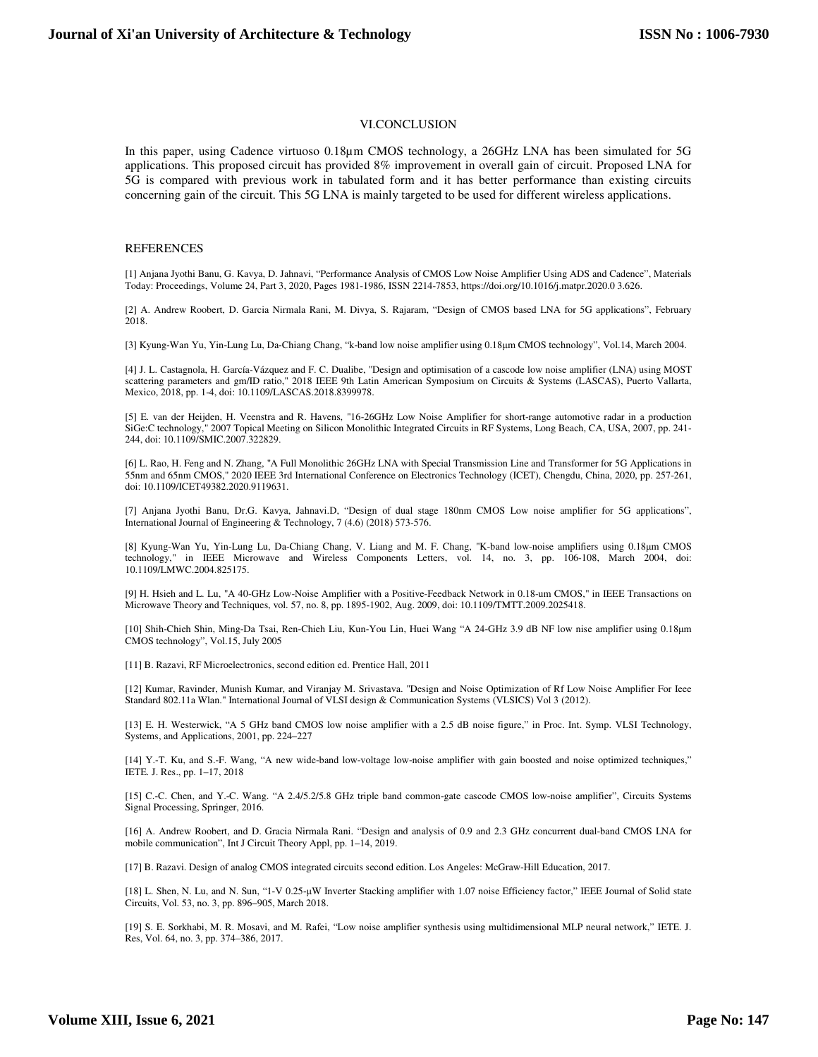## VI.CONCLUSION

In this paper, using Cadence virtuoso 0.18µm CMOS technology, a 26GHz LNA has been simulated for 5G applications. This proposed circuit has provided 8% improvement in overall gain of circuit. Proposed LNA for 5G is compared with previous work in tabulated form and it has better performance than existing circuits concerning gain of the circuit. This 5G LNA is mainly targeted to be used for different wireless applications.

#### **REFERENCES**

[1] Anjana Jyothi Banu, G. Kavya, D. Jahnavi, "Performance Analysis of CMOS Low Noise Amplifier Using ADS and Cadence", Materials Today: Proceedings, Volume 24, Part 3, 2020, Pages 1981-1986, ISSN 2214-7853, https://doi.org/10.1016/j.matpr.2020.0 3.626.

[2] A. Andrew Roobert, D. Garcia Nirmala Rani, M. Divya, S. Rajaram, "Design of CMOS based LNA for 5G applications", February 2018.

[3] Kyung-Wan Yu, Yin-Lung Lu, Da-Chiang Chang, "k-band low noise amplifier using 0.18μm CMOS technology", Vol.14, March 2004.

[4] J. L. Castagnola, H. García-Vázquez and F. C. Dualibe, "Design and optimisation of a cascode low noise amplifier (LNA) using MOST scattering parameters and gm/ID ratio," 2018 IEEE 9th Latin American Symposium on Circuits & Systems (LASCAS), Puerto Vallarta, Mexico, 2018, pp. 1-4, doi: 10.1109/LASCAS.2018.8399978.

[5] E. van der Heijden, H. Veenstra and R. Havens, "16-26GHz Low Noise Amplifier for short-range automotive radar in a production SiGe:C technology," 2007 Topical Meeting on Silicon Monolithic Integrated Circuits in RF Systems, Long Beach, CA, USA, 2007, pp. 241- 244, doi: 10.1109/SMIC.2007.322829.

[6] L. Rao, H. Feng and N. Zhang, "A Full Monolithic 26GHz LNA with Special Transmission Line and Transformer for 5G Applications in 55nm and 65nm CMOS," 2020 IEEE 3rd International Conference on Electronics Technology (ICET), Chengdu, China, 2020, pp. 257-261, doi: 10.1109/ICET49382.2020.9119631.

[7] Anjana Jyothi Banu, Dr.G. Kavya, Jahnavi.D, "Design of dual stage 180nm CMOS Low noise amplifier for 5G applications", International Journal of Engineering & Technology, 7 (4.6) (2018) 573-576.

[8] Kyung-Wan Yu, Yin-Lung Lu, Da-Chiang Chang, V. Liang and M. F. Chang, "K-band low-noise amplifiers using 0.18μm CMOS technology," in IEEE Microwave and Wireless Components Letters, vol. 14, no. 3, pp. 106-108, March 2004, doi: 10.1109/LMWC.2004.825175.

[9] H. Hsieh and L. Lu, "A 40-GHz Low-Noise Amplifier with a Positive-Feedback Network in 0.18-um CMOS," in IEEE Transactions on Microwave Theory and Techniques, vol. 57, no. 8, pp. 1895-1902, Aug. 2009, doi: 10.1109/TMTT.2009.2025418.

[10] Shih-Chieh Shin, Ming-Da Tsai, Ren-Chieh Liu, Kun-You Lin, Huei Wang "A 24-GHz 3.9 dB NF low nise amplifier using 0.18μm CMOS technology", Vol.15, July 2005

[11] B. Razavi, RF Microelectronics, second edition ed. Prentice Hall, 2011

[12] Kumar, Ravinder, Munish Kumar, and Viranjay M. Srivastava. "Design and Noise Optimization of Rf Low Noise Amplifier For Ieee Standard 802.11a Wlan." International Journal of VLSI design & Communication Systems (VLSICS) Vol 3 (2012).

[13] E. H. Westerwick, "A 5 GHz band CMOS low noise amplifier with a 2.5 dB noise figure," in Proc. Int. Symp. VLSI Technology, Systems, and Applications, 2001, pp. 224–227

[14] Y.-T. Ku, and S.-F. Wang, "A new wide-band low-voltage low-noise amplifier with gain boosted and noise optimized techniques," IETE. J. Res., pp. 1–17, 2018

[15] C.-C. Chen, and Y.-C. Wang. "A 2.4/5.2/5.8 GHz triple band common-gate cascode CMOS low-noise amplifier", Circuits Systems Signal Processing, Springer, 2016.

[16] A. Andrew Roobert, and D. Gracia Nirmala Rani. "Design and analysis of 0.9 and 2.3 GHz concurrent dual-band CMOS LNA for mobile communication", Int J Circuit Theory Appl, pp. 1–14, 2019.

[17] B. Razavi. Design of analog CMOS integrated circuits second edition. Los Angeles: McGraw-Hill Education, 2017.

[18] L. Shen, N. Lu, and N. Sun, "1-V 0.25-μW Inverter Stacking amplifier with 1.07 noise Efficiency factor," IEEE Journal of Solid state Circuits, Vol. 53, no. 3, pp. 896–905, March 2018.

[19] S. E. Sorkhabi, M. R. Mosavi, and M. Rafei, "Low noise amplifier synthesis using multidimensional MLP neural network," IETE. J. Res, Vol. 64, no. 3, pp. 374–386, 2017.